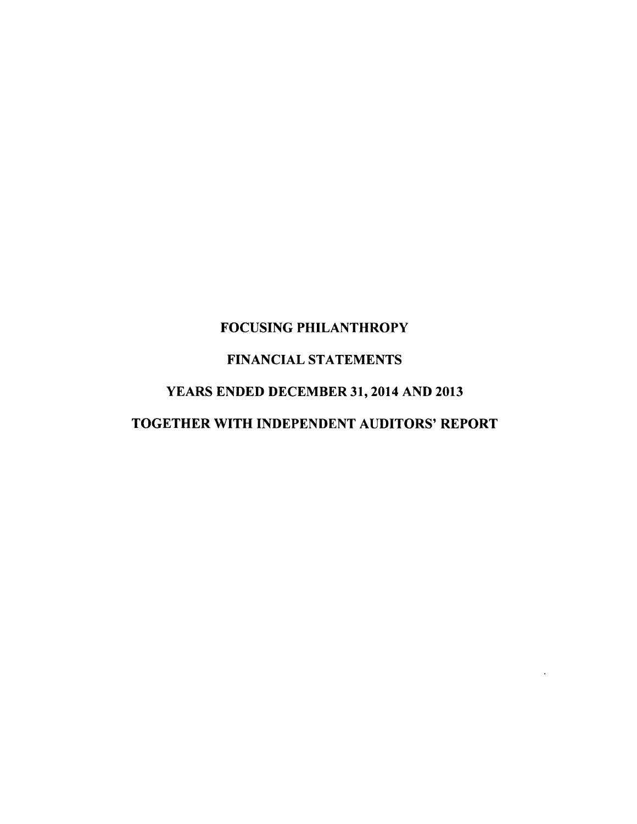# FOCUSING PHILANTHROPY

# FINANCIAL STATEMENTS

# YEARS ENDED DECEMBER 3I,2014 AND 2OI3

# TOGETHER WITH INDEPENDENT AUDITORS' REPORT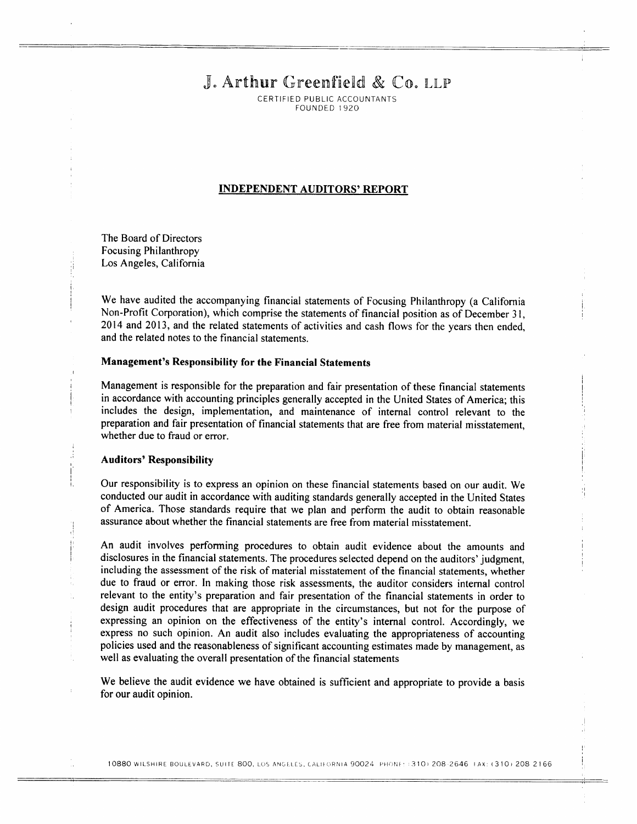# J. Arthur Greenfield & Co. LLP

CERTIFIED PUBLIC ACCOUNTANTS FOUNDED 1 920

### INDEPENDENT AUDITORS' REPORT

The Board of Directors Focusing Philanthropy Los Angeles, California

We have audited the accompanying financial statements of Focusing Philanthropy (a California Non-Profit Corporation), which comprise the statements of financial position as of December 3 l, 2014 and 2013, and the related statements of activities and cash flows for the years then ended, and the related notes to the financial statements.

#### Management's Responsibility for the Financial Statements

Management is responsible for the preparation and fair presentation of these financial statements in accordance with accounting principles generally accepted in the United States of America; this includes the design, implementation, and maintenance of internal control relevant to the preparation and fair presentation of financial statements that are free from material misstatement, whether due to fraud or error.

#### Auditors' Responsibility

Our responsibility is to express an opinion on these financial statements based on our audit. We conducted our audit in accordance with auditing standards generally accepted in the United States of America. Those standards require that we plan and perform the audit to obtain reasonable assurance about whether the financial statements are free from material misstatement.

An audit involves performing procedures to obtain audit evidence about the amounts and disclosures in the financial statements. The procedures selected depend on the auditors' judgment, including the assessment of the risk of material misstatement of the financial statements, whether due to fraud or error. In making those risk assessments, the auditor considers internal control relevant to the entity's preparation and fair presentation of the financial statements in order to design audit procedures that are appropriate in the circumstances, but not for the purpose of expressing an opinion on the effectiveness of the entity's internal control. Accordingly, we express no such opinion. An audit also includes evaluating the appropriateness of accounting policies used and the reasonableness of significant accounting estimates made by management, as well as evaluating the overall presentation of the financial statements

We believe the audit evidence we have obtained is sufficient and appropriate to provide a basis for our audit opinion.

10880 WILSHIRE BOULEVARD, SUITE 800, LOS ANGELES, CALIFORNIA 90024 PHONE: (310) 208-2646 FAX: (310) 208 2166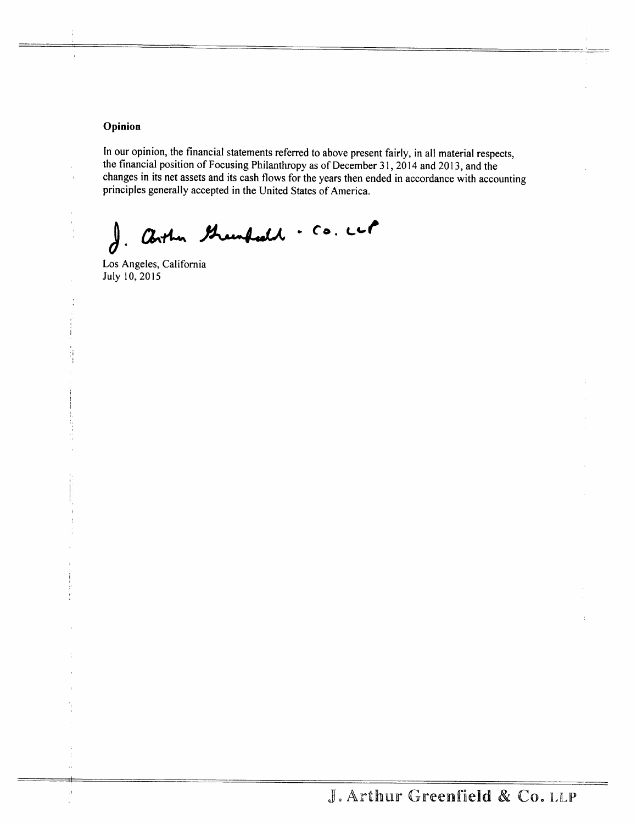# Opinion

Ą

In our opinion, the financial statements referred to above present fairly, in all material respects, the financial position of Focusing Philanthropy as of December 31, 2014 and 2013, and the changes in its net assets and its cash flows for the years then ended in accordance with accounting principles generally accepted in the United States of America.

i Arthur Greenfeeld . Co. ccl  $\boldsymbol{d}$  .

Los Angeles, California July 10, 2015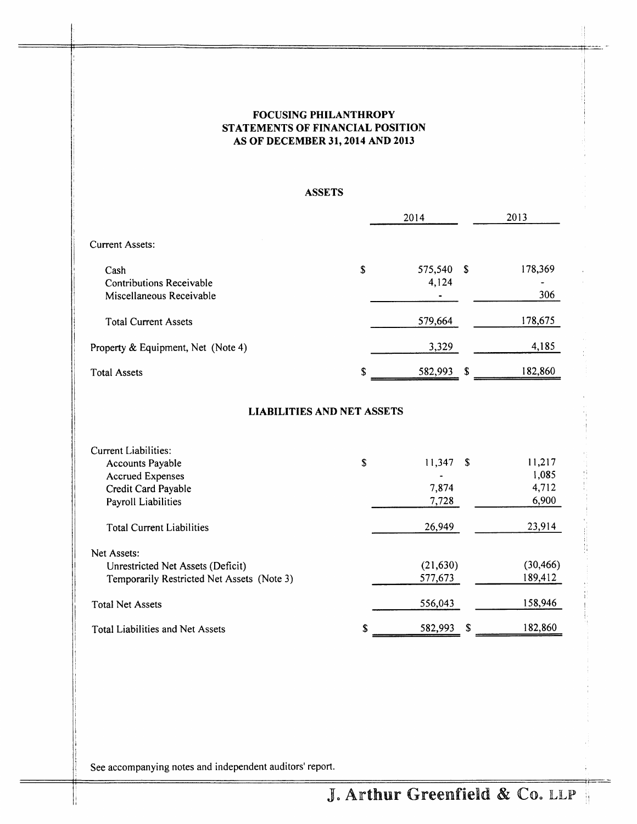# FOCUSING PHILANTHROPY STATEMENTS OF FINANCIAL POSITION AS OF DECEMBER 3I,2OI4 AND 2OI3

# ASSETS

|                                    |    | 2014    |    | 2013    |
|------------------------------------|----|---------|----|---------|
| Current Assets:                    |    |         |    |         |
| Cash                               | \$ | 575,540 | S  | 178,369 |
| Contributions Receivable           |    | 4,124   |    |         |
| Miscellaneous Receivable           |    |         |    | 306     |
| <b>Total Current Assets</b>        |    | 579,664 |    | 178,675 |
| Property & Equipment, Net (Note 4) |    | 3,329   |    | 4,185   |
| <b>Total Assets</b>                | S  | 582,993 | -S | 182,860 |

# LIABILITIES AND NET ASSETS

| Current Liabilities:                       |    |              |           |
|--------------------------------------------|----|--------------|-----------|
| Accounts Payable                           | \$ | 11,347<br>-S | 11,217    |
| <b>Accrued Expenses</b>                    |    |              | 1,085     |
| Credit Card Payable                        |    | 7,874        | 4,712     |
| Payroll Liabilities                        |    | 7,728        | 6,900     |
| <b>Total Current Liabilities</b>           |    | 26,949       | 23,914    |
| Net Assets:                                |    |              |           |
| Unrestricted Net Assets (Deficit)          |    | (21, 630)    | (30, 466) |
| Temporarily Restricted Net Assets (Note 3) |    | 577,673      | 189,412   |
| <b>Total Net Assets</b>                    |    | 556,043      | 158,946   |
| <b>Total Liabilities and Net Assets</b>    | S  | 582,993<br>Я | 182,860   |

See accompanying notes and independent auditors' report.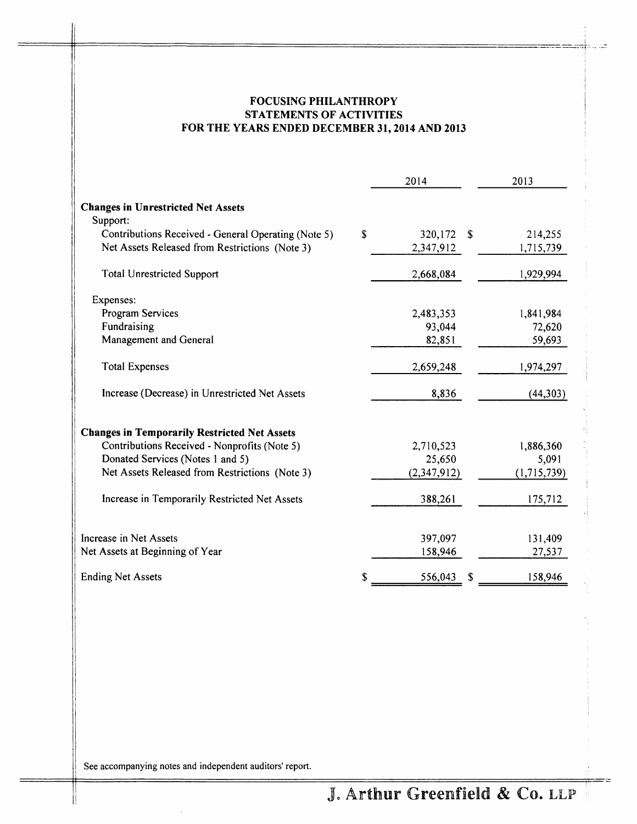# FOCUSING PHILANTHROPY STATEMENTS OF ACTIVITIES FOR THE YEARS ENDED DECEMBER 3I,2OI4 AND 2013

|                                                     | 2014          |    | 2013        |
|-----------------------------------------------------|---------------|----|-------------|
| <b>Changes in Unrestricted Net Assets</b>           |               |    |             |
| Support:                                            |               |    |             |
| Contributions Received - General Operating (Note 5) | \$<br>320,172 | -S | 214,255     |
| Net Assets Released from Restrictions (Note 3)      | 2,347,912     |    | 1,715,739   |
| <b>Total Unrestricted Support</b>                   | 2,668,084     |    | 1,929,994   |
| Expenses:                                           |               |    |             |
| Program Services                                    | 2,483,353     |    | 1,841,984   |
| Fundraising                                         | 93,044        |    | 72,620      |
| Management and General                              | 82,851        |    | 59,693      |
| <b>Total Expenses</b>                               | 2,659,248     |    | 1,974,297   |
| Increase (Decrease) in Unrestricted Net Assets      | 8,836         |    | (44,303)    |
| <b>Changes in Temporarily Restricted Net Assets</b> |               |    |             |
| Contributions Received - Nonprofits (Note 5)        | 2,710,523     |    | 1,886,360   |
| Donated Services (Notes 1 and 5)                    | 25,650        |    | 5,091       |
| Net Assets Released from Restrictions (Note 3)      | (2,347,912)   |    | (1,715,739) |
| Increase in Temporarily Restricted Net Assets       | 388,261       |    | 175,712     |
| Increase in Net Assets                              | 397,097       |    | 131,409     |
| Net Assets at Beginning of Year                     | 158,946       |    | 27,537      |
| <b>Ending Net Assets</b>                            | 556,043       |    | 158,946     |

See accompanying notes and independent auditors' report.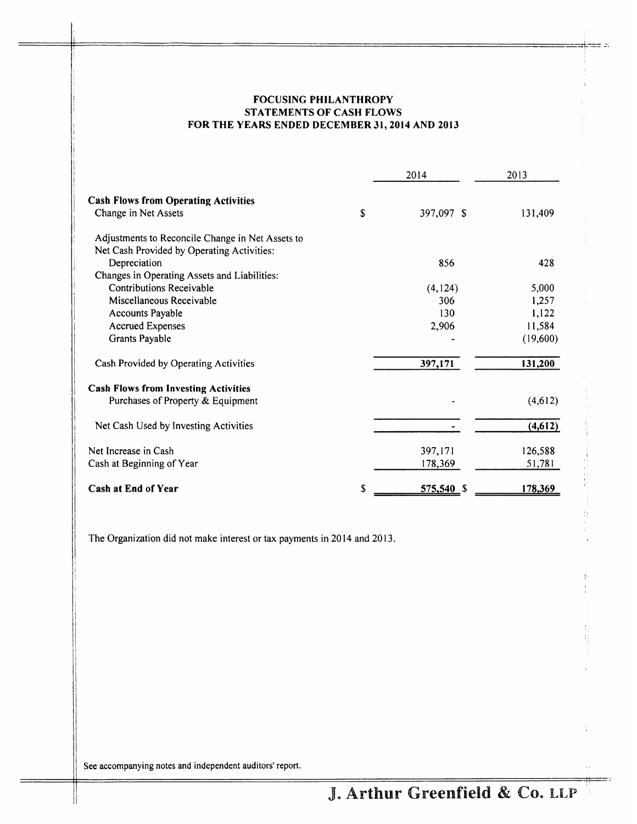# FOCUSING PHILANTHROPY STATEMENTS OF CASH FLOWS FOR THE YEARS ENDED DECEMBER 3I, 2OI4 AND 2OI3

|                                                  |    | 2014       | 2013     |  |
|--------------------------------------------------|----|------------|----------|--|
| <b>Cash Flows from Operating Activities</b>      |    |            |          |  |
| Change in Net Assets                             | S  | 397,097 \$ | 131,409  |  |
| Adjustments to Reconcile Change in Net Assets to |    |            |          |  |
| Net Cash Provided by Operating Activities:       |    |            |          |  |
| Depreciation                                     |    | 856        | 428      |  |
| Changes in Operating Assets and Liabilities:     |    |            |          |  |
| <b>Contributions Receivable</b>                  |    | (4, 124)   | 5,000    |  |
| Miscellaneous Receivable                         |    | 306        | 1,257    |  |
| Accounts Payable                                 |    | 130        | 1,122    |  |
| <b>Accrued Expenses</b>                          |    | 2,906      | 11,584   |  |
| Grants Payable                                   |    |            | (19,600) |  |
| Cash Provided by Operating Activities            |    | 397,171    | 131,200  |  |
| <b>Cash Flows from Investing Activities</b>      |    |            |          |  |
| Purchases of Property & Equipment                |    |            | (4,612)  |  |
| Net Cash Used by Investing Activities            |    |            | (4, 612) |  |
| Net Increase in Cash                             |    | 397,171    | 126,588  |  |
| Cash at Beginning of Year                        |    | 178,369    | 51,781   |  |
| Cash at End of Year                              | \$ | 575,540 \$ | 178,369  |  |

The Organization did not make interest or tax payments in 2014 and 2013.

See accompanying notes and independent auditors' report.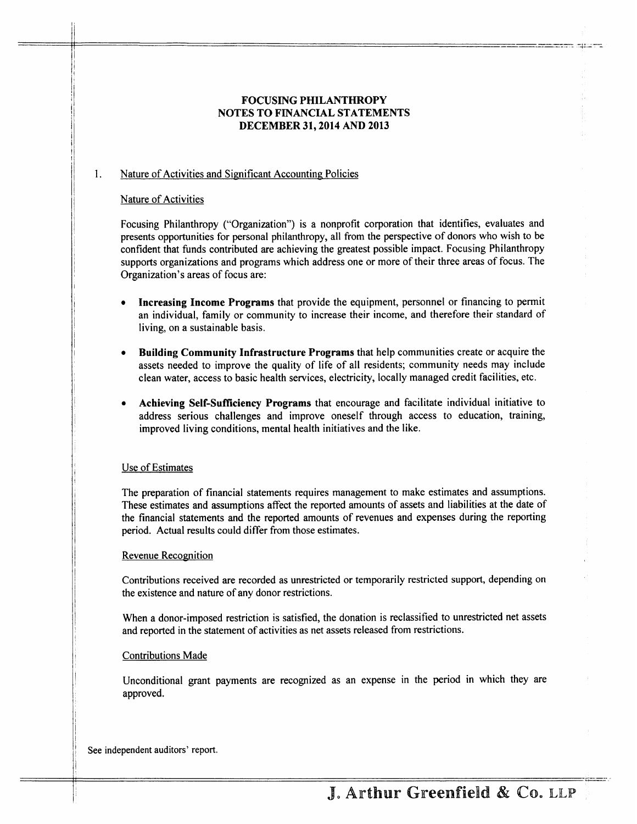# FOCUSING PHILANTHROPY NOTES TO FINANCIAL STATEMENTS DECEMBER 31,2014 AND 2013

#### l . Nature of Activities and Significant Accounting Policies

### Nature of Activities

Focusing Philanthropy ("Organization") is a nonprofit corporation that identifies, evaluates and presents opportunities for personal philanthropy, all from the perspective of donors who wish to be confident that funds contributed are achieving the greatest possible impact. Focusing Philanthropy supports organizations and programs which address one or more of their three areas of focus. The Organization's areas of focus are:

- Increasing Income Programs that provide the equipment, personnel or financing to permit an individual, family or community to increase their income, and therefore their standard of living, on a sustainable basis.
- Building Community Infrastructure Programs that help communities create or acquire the assets needed to improve the quality of life of all residents; community needs may include clean water, access to basic health services, electricity, locally managed credit facilities, etc.
- Achieving Self-Sufficiency Programs that encourage and facilitate individual initiative to address serious challenges and improve oneself through access to education, training, improved living conditions, mental health initiatives and the like.

### Use of Estimates

The preparation of financial statements requires management to make estimates and assumptions. These estimates and assumptions affect the reported amounts of assets and liabilities at the date of the financial statements and the reported amounts of revenues and expenses during the reporting period. Actual results could differ from those estimates.

### Revenue Recognition

Contributions received are recorded as unrestricted or temporarily restricted support, depending on the existence and nature of any donor restrictions.

When a donor-imposed restriction is satisfied, the donation is reclassified to unrestricted net assets and reported in the statement of activities as net assets released from restrictions.

### Contributions Made

Unconditional grant payments are recognized as an expense in the period in which they are approved.

See independent auditors' report.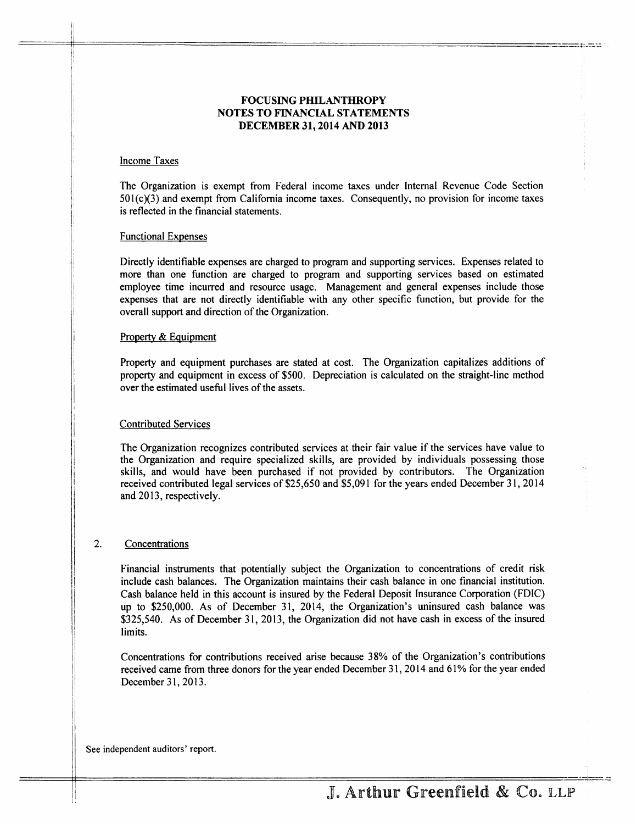## FOCUSING PHILANTHROPY NOTES TO FINANCIAL STATEMENTS DECEMBER 31, 2014 AND 2013

# Income Taxes

The Organization is exempt from Federal income laxes under Internal Revenue Code Section 501(c)(3) and exempt from California income taxes. Consequently, no provision for income taxes is reflected in the financial statements.

### Functional Expenses

Directly identifiable expenses are charged to program and supporting senrices. Expenses related to more than one function are charged to program and supporting services based on estimated employee time incurred and resource usage. Management and general expenses include those expenses that are not directly identifiable with any other specific function, but provide for the overall support and direction of the Organization.

### Property & Equipment

Property and equipment purchases are stated at cost. The Organization capitalizes additions of property and equipment in excess of \$500. Depreciation is calculated on the straight-line method over the estimated useful lives of the assets.

## Contributed Services

The Organization recognizes contributed services at their fair value if the services have value to the Organization and require specialized skills, are provided by individuals possessing those skills, and would have been purchased if not provided by contributors. The Organization received contributed legal services of \$25,650 and \$5,091 for the years ended December 31,2014 and 2013, respectively.

#### $\overline{2}$ . Concentrations

Financial insfuments that potentially subject the Organization to concentrations of credit risk include cash balances. The Organization maintains their cash balance in one financial institution. Cash balance held in this account is insured by the Federal Deposit Insurance Corporation (FDIC) up to \$250,000. As of December 31, 2014, the Organization's uninsured cash balance was \$325,540. As of December 31, 2013, the Organization did not have cash in excess of the insured limits.

Concentrations for contributions received arise because 38% of the Organization's contributions received came from three donors for the year ended December 31, 2014 and 61% for the year ended December 31, 2013.

See independent auditors' report.